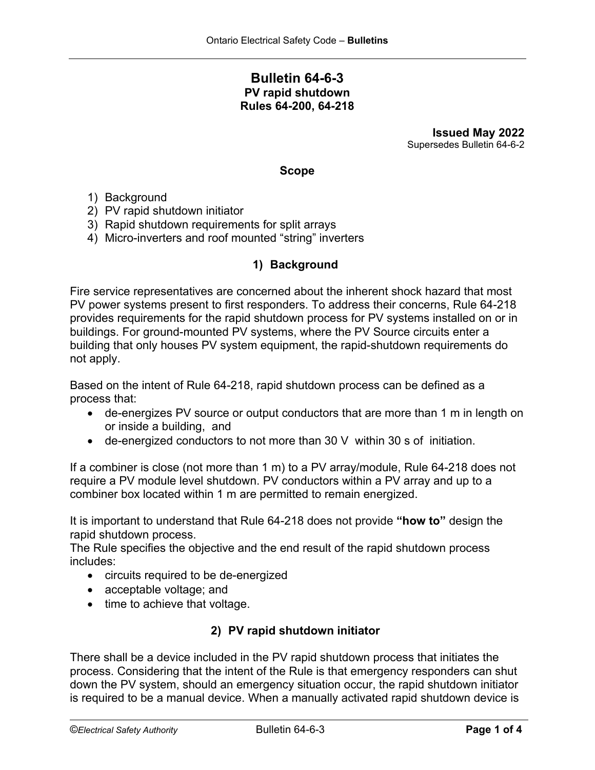# **Bulletin 64-6-3 PV rapid shutdown Rules 64-200, 64-218**

**Issued May 2022** Supersedes Bulletin 64-6-2

#### **Scope**

- 1) Background
- 2) PV rapid shutdown initiator
- 3) Rapid shutdown requirements for split arrays
- 4) Micro-inverters and roof mounted "string" inverters

## **1) Background**

Fire service representatives are concerned about the inherent shock hazard that most PV power systems present to first responders. To address their concerns, Rule 64-218 provides requirements for the rapid shutdown process for PV systems installed on or in buildings. For ground-mounted PV systems, where the PV Source circuits enter a building that only houses PV system equipment, the rapid-shutdown requirements do not apply.

Based on the intent of Rule 64-218, rapid shutdown process can be defined as a process that:

- de-energizes PV source or output conductors that are more than 1 m in length on or inside a building, and
- de-energized conductors to not more than 30 V within 30 s of initiation.

If a combiner is close (not more than 1 m) to a PV array/module, Rule 64-218 does not require a PV module level shutdown. PV conductors within a PV array and up to a combiner box located within 1 m are permitted to remain energized.

It is important to understand that Rule 64-218 does not provide **"how to"** design the rapid shutdown process.

The Rule specifies the objective and the end result of the rapid shutdown process includes:

- circuits required to be de-energized
- acceptable voltage; and
- time to achieve that voltage.

## **2) PV rapid shutdown initiator**

There shall be a device included in the PV rapid shutdown process that initiates the process. Considering that the intent of the Rule is that emergency responders can shut down the PV system, should an emergency situation occur, the rapid shutdown initiator is required to be a manual device. When a manually activated rapid shutdown device is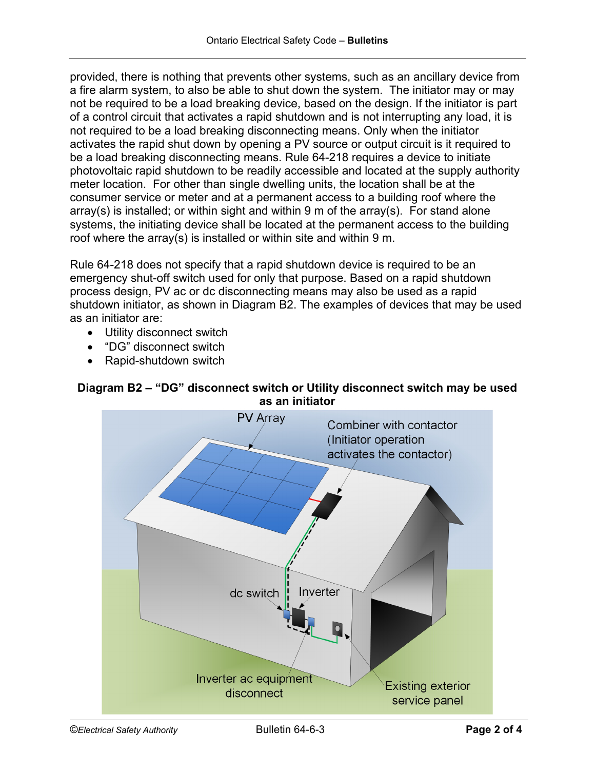provided, there is nothing that prevents other systems, such as an ancillary device from a fire alarm system, to also be able to shut down the system. The initiator may or may not be required to be a load breaking device, based on the design. If the initiator is part of a control circuit that activates a rapid shutdown and is not interrupting any load, it is not required to be a load breaking disconnecting means. Only when the initiator activates the rapid shut down by opening a PV source or output circuit is it required to be a load breaking disconnecting means. Rule 64-218 requires a device to initiate photovoltaic rapid shutdown to be readily accessible and located at the supply authority meter location. For other than single dwelling units, the location shall be at the consumer service or meter and at a permanent access to a building roof where the array(s) is installed; or within sight and within 9 m of the array(s). For stand alone systems, the initiating device shall be located at the permanent access to the building roof where the array(s) is installed or within site and within 9 m.

Rule 64-218 does not specify that a rapid shutdown device is required to be an emergency shut-off switch used for only that purpose. Based on a rapid shutdown process design, PV ac or dc disconnecting means may also be used as a rapid shutdown initiator, as shown in Diagram B2. The examples of devices that may be used as an initiator are:

- Utility disconnect switch
- "DG" disconnect switch
- Rapid-shutdown switch

# **Diagram B2 – "DG" disconnect switch or Utility disconnect switch may be used as an initiator**

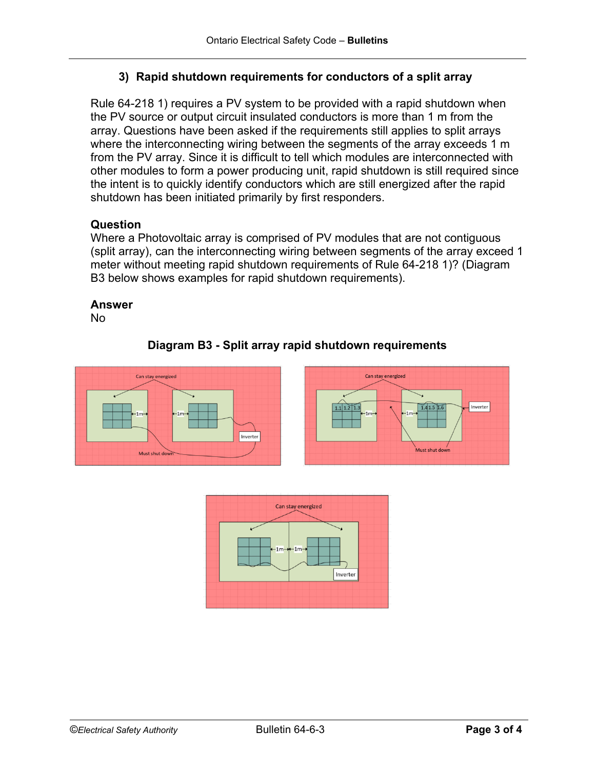# **3) Rapid shutdown requirements for conductors of a split array**

Rule 64-218 1) requires a PV system to be provided with a rapid shutdown when the PV source or output circuit insulated conductors is more than 1 m from the array. Questions have been asked if the requirements still applies to split arrays where the interconnecting wiring between the segments of the array exceeds 1 m from the PV array. Since it is difficult to tell which modules are interconnected with other modules to form a power producing unit, rapid shutdown is still required since the intent is to quickly identify conductors which are still energized after the rapid shutdown has been initiated primarily by first responders.

## **Question**

Where a Photovoltaic array is comprised of PV modules that are not contiguous (split array), can the interconnecting wiring between segments of the array exceed 1 meter without meeting rapid shutdown requirements of Rule 64-218 1)? (Diagram B3 below shows examples for rapid shutdown requirements).

## **Answer**

No